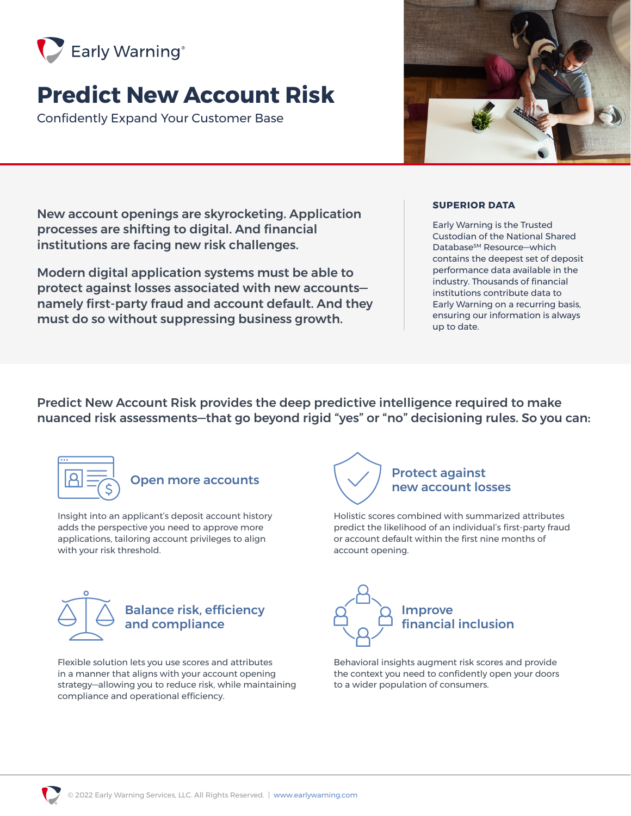

# **Predict New Account Risk**

Confidently Expand Your Customer Base



New account openings are skyrocketing. Application processes are shifting to digital. And financial institutions are facing new risk challenges.

Modern digital application systems must be able to protect against losses associated with new accounts namely first-party fraud and account default. And they must do so without suppressing business growth.

### **SUPERIOR DATA**

Early Warning is the Trusted Custodian of the National Shared Database<sup>sM</sup> Resource–which contains the deepest set of deposit performance data available in the industry. Thousands of financial institutions contribute data to Early Warning on a recurring basis, ensuring our information is always up to date.

Predict New Account Risk provides the deep predictive intelligence required to make nuanced risk assessments—that go beyond rigid "yes" or "no" decisioning rules. So you can:



Insight into an applicant's deposit account history adds the perspective you need to approve more applications, tailoring account privileges to align with your risk threshold.



### Balance risk, efficiency and compliance

Flexible solution lets you use scores and attributes in a manner that aligns with your account opening strategy—allowing you to reduce risk, while maintaining compliance and operational efficiency.



Holistic scores combined with summarized attributes predict the likelihood of an individual's first-party fraud or account default within the first nine months of account opening.



Behavioral insights augment risk scores and provide the context you need to confidently open your doors to a wider population of consumers.